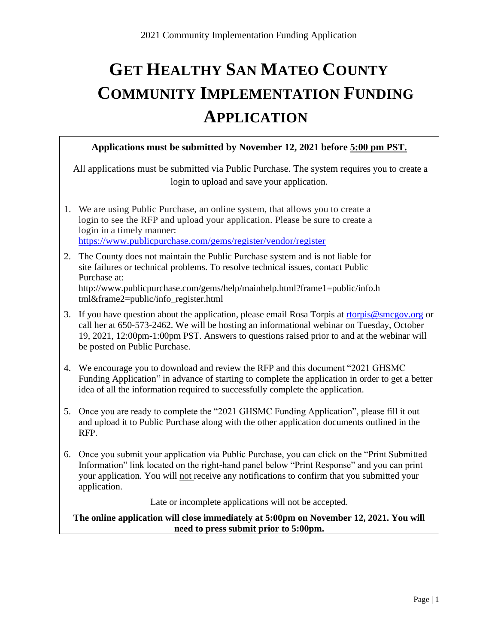# **GET HEALTHY SAN MATEO COUNTY COMMUNITY IMPLEMENTATION FUNDING APPLICATION**

#### **Applications must be submitted by November 12, 2021 before 5:00 pm PST.**

All applications must be submitted via Public Purchase. The system requires you to create a login to upload and save your application.

- 1. We are using Public Purchase, an online system, that allows you to create a login to see the RFP and upload your application. Please be sure to create a login in a timely manner: <https://www.publicpurchase.com/gems/register/vendor/register>
- 2. The County does not maintain the Public Purchase system and is not liable for site failures or technical problems. To resolve technical issues, contact Public Purchase at: http://www.publicpurchase.com/gems/help/mainhelp.html?frame1=public/info.h tml&frame2=public/info\_register.html
- 3. If you have question about the application, please email Rosa Torpis at [rtorpis@smcgov.org](mailto:rtorpis@smcgov.org) or call her at 650-573-2462. We will be hosting an informational webinar on Tuesday, October 19, 2021, 12:00pm-1:00pm PST. Answers to questions raised prior to and at the webinar will be posted on Public Purchase.
- 4. We encourage you to download and review the RFP and this document "2021 GHSMC Funding Application" in advance of starting to complete the application in order to get a better idea of all the information required to successfully complete the application.
- 5. Once you are ready to complete the "2021 GHSMC Funding Application", please fill it out and upload it to Public Purchase along with the other application documents outlined in the RFP.
- 6. Once you submit your application via Public Purchase, you can click on the "Print Submitted Information" link located on the right-hand panel below "Print Response" and you can print your application. You will not receive any notifications to confirm that you submitted your application.

Late or incomplete applications will not be accepted.

**The online application will close immediately at 5:00pm on November 12, 2021. You will need to press submit prior to 5:00pm.**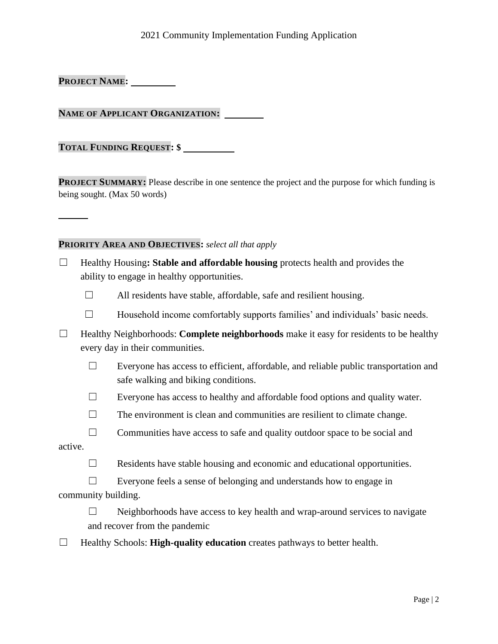#### 2021 Community Implementation Funding Application

**PROJECT NAME:**

**NAME OF APPLICANT ORGANIZATION:** 

**TOTAL FUNDING REQUEST: \$** 

**PROJECT SUMMARY:** Please describe in one sentence the project and the purpose for which funding is being sought. (Max 50 words)

#### **PRIORITY AREA AND OBJECTIVES:** *select all that apply*

- ☐ Healthy Housing**: Stable and affordable housing** protects health and provides the ability to engage in healthy opportunities.
	- $\Box$  All residents have stable, affordable, safe and resilient housing.
	- $\Box$  Household income comfortably supports families' and individuals' basic needs.
- ☐ Healthy Neighborhoods: **Complete neighborhoods** make it easy for residents to be healthy every day in their communities.
	- ☐ Everyone has access to efficient, affordable, and reliable public transportation and safe walking and biking conditions.
	- $\Box$  Everyone has access to healthy and affordable food options and quality water.
	- $\Box$  The environment is clean and communities are resilient to climate change.
- $\Box$  Communities have access to safe and quality outdoor space to be social and active.
	- $\Box$  Residents have stable housing and economic and educational opportunities.
	- ☐ Everyone feels a sense of belonging and understands how to engage in
- community building.
	- ☐ Neighborhoods have access to key health and wrap-around services to navigate and recover from the pandemic
- ☐ Healthy Schools: **High-quality education** creates pathways to better health.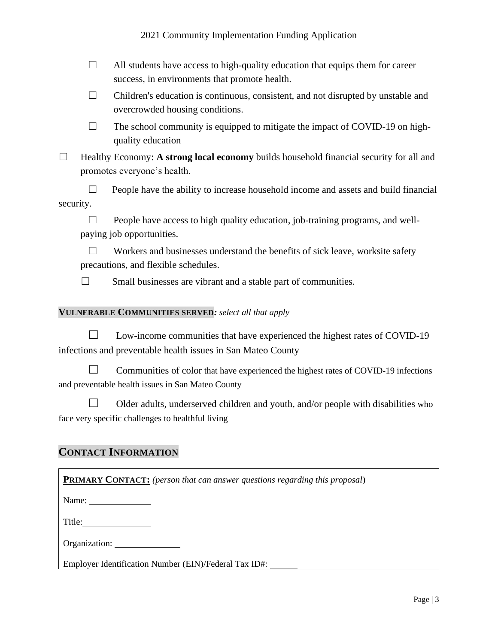#### 2021 Community Implementation Funding Application

- $\Box$  All students have access to high-quality education that equips them for career success, in environments that promote health.
- $\Box$  Children's education is continuous, consistent, and not disrupted by unstable and overcrowded housing conditions.
- $\Box$  The school community is equipped to mitigate the impact of COVID-19 on highquality education
- ☐ Healthy Economy: **A strong local economy** builds household financial security for all and promotes everyone's health.

 $\Box$  People have the ability to increase household income and assets and build financial security.

 $\Box$  People have access to high quality education, job-training programs, and wellpaying job opportunities.

 $\Box$  Workers and businesses understand the benefits of sick leave, worksite safety precautions, and flexible schedules.

 $\Box$  Small businesses are vibrant and a stable part of communities.

#### **VULNERABLE COMMUNITIES SERVED***: select all that apply*

 $\Box$  Low-income communities that have experienced the highest rates of COVID-19 infections and preventable health issues in San Mateo County

 $\Box$  Communities of color that have experienced the highest rates of COVID-19 infections and preventable health issues in San Mateo County

 $\Box$  Older adults, underserved children and youth, and/or people with disabilities who face very specific challenges to healthful living

## **CONTACT INFORMATION**

| <b>PRIMARY CONTACT:</b> (person that can answer questions regarding this proposal) |
|------------------------------------------------------------------------------------|
| Name: $\sqrt{\frac{1}{2} \sum_{r=1}^{r} x_r^2}$                                    |
| Title:                                                                             |
| Organization:                                                                      |

| Organization. |  |
|---------------|--|
|               |  |
|               |  |

Employer Identification Number (EIN)/Federal Tax ID#: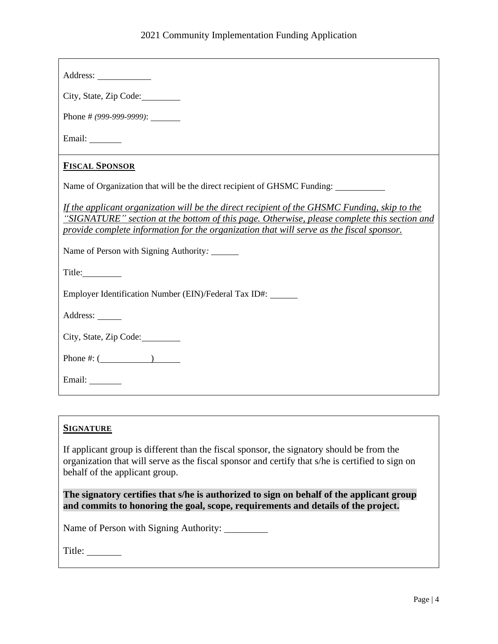| Address: 2008                                                                                                                                                                                                                                                                           |
|-----------------------------------------------------------------------------------------------------------------------------------------------------------------------------------------------------------------------------------------------------------------------------------------|
| City, State, Zip Code:                                                                                                                                                                                                                                                                  |
| Phone # $(999-999-9999)$ :                                                                                                                                                                                                                                                              |
| Email: _________                                                                                                                                                                                                                                                                        |
| <b>FISCAL SPONSOR</b>                                                                                                                                                                                                                                                                   |
| Name of Organization that will be the direct recipient of GHSMC Funding: ________                                                                                                                                                                                                       |
| If the applicant organization will be the direct recipient of the GHSMC Funding, skip to the<br>"SIGNATURE" section at the bottom of this page. Otherwise, please complete this section and<br>provide complete information for the organization that will serve as the fiscal sponsor. |
| Name of Person with Signing Authority:                                                                                                                                                                                                                                                  |
|                                                                                                                                                                                                                                                                                         |
| Employer Identification Number (EIN)/Federal Tax ID#:                                                                                                                                                                                                                                   |
| Address: ______                                                                                                                                                                                                                                                                         |
| City, State, Zip Code:                                                                                                                                                                                                                                                                  |
| Phone #: $($                                                                                                                                                                                                                                                                            |
| Email:                                                                                                                                                                                                                                                                                  |

## **SIGNATURE**

If applicant group is different than the fiscal sponsor, the signatory should be from the organization that will serve as the fiscal sponsor and certify that s/he is certified to sign on behalf of the applicant group.

**The signatory certifies that s/he is authorized to sign on behalf of the applicant group and commits to honoring the goal, scope, requirements and details of the project.**

Name of Person with Signing Authority: \_\_\_\_\_\_\_\_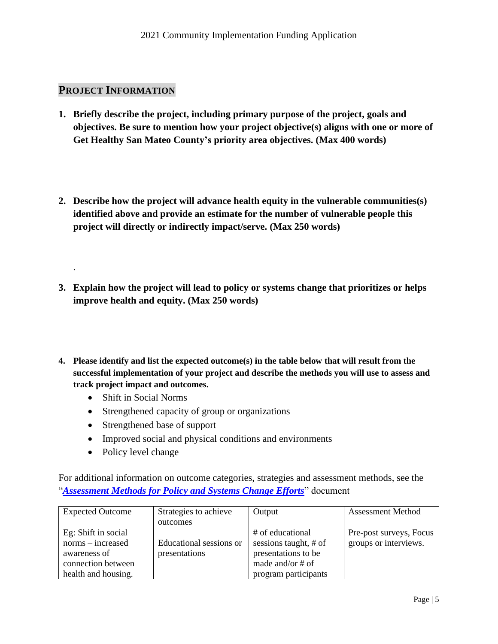# **PROJECT INFORMATION**

.

- **1. Briefly describe the project, including primary purpose of the project, goals and objectives. Be sure to mention how your project objective(s) aligns with one or more of Get Healthy San Mateo County's priority area objectives. (Max 400 words)**
- **2. Describe how the project will advance health equity in the vulnerable communities(s) identified above and provide an estimate for the number of vulnerable people this project will directly or indirectly impact/serve. (Max 250 words)**
- **3. Explain how the project will lead to policy or systems change that prioritizes or helps improve health and equity. (Max 250 words)**
- **4. Please identify and list the expected outcome(s) in the table below that will result from the successful implementation of your project and describe the methods you will use to assess and track project impact and outcomes.** 
	- Shift in Social Norms
	- Strengthened capacity of group or organizations
	- Strengthened base of support
	- Improved social and physical conditions and environments
	- Policy level change

For additional information on outcome categories, strategies and assessment methods, see the "*[Assessment Methods for Policy and Systems Change Efforts](http://www.gethealthysmc.org/sites/main/files/file-attachments/assessment_methods.pdf)*" document

| <b>Expected Outcome</b> | Strategies to achieve   | Output                | <b>Assessment Method</b> |
|-------------------------|-------------------------|-----------------------|--------------------------|
|                         | outcomes                |                       |                          |
| Eg: Shift in social     |                         | # of educational      | Pre-post surveys, Focus  |
| norms – increased       | Educational sessions or | sessions taught, # of | groups or interviews.    |
| awareness of            | presentations           | presentations to be   |                          |
| connection between      |                         | made and/or # of      |                          |
| health and housing.     |                         | program participants  |                          |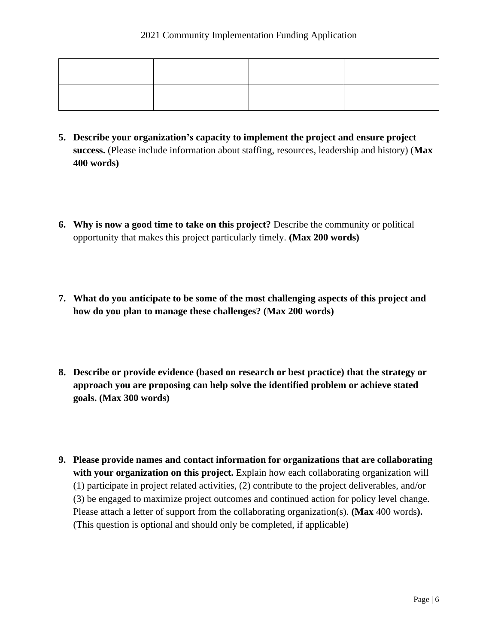- **5. Describe your organization's capacity to implement the project and ensure project success.** (Please include information about staffing, resources, leadership and history) (**Max 400 words)**
- **6. Why is now a good time to take on this project?** Describe the community or political opportunity that makes this project particularly timely. **(Max 200 words)**
- **7. What do you anticipate to be some of the most challenging aspects of this project and how do you plan to manage these challenges? (Max 200 words)**
- **8. Describe or provide evidence (based on research or best practice) that the strategy or approach you are proposing can help solve the identified problem or achieve stated goals. (Max 300 words)**
- **9. Please provide names and contact information for organizations that are collaborating with your organization on this project.** Explain how each collaborating organization will (1) participate in project related activities, (2) contribute to the project deliverables, and/or (3) be engaged to maximize project outcomes and continued action for policy level change. Please attach a letter of support from the collaborating organization(s). **(Max** 400 words**).**  (This question is optional and should only be completed, if applicable)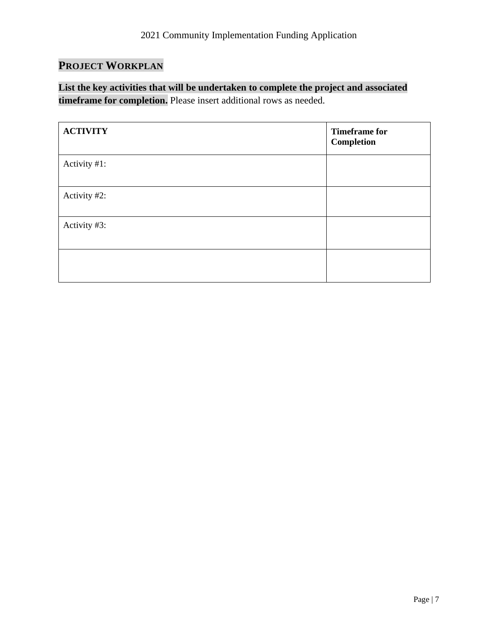# **PROJECT WORKPLAN**

**List the key activities that will be undertaken to complete the project and associated timeframe for completion.** Please insert additional rows as needed.

| <b>ACTIVITY</b> | <b>Timeframe for</b><br>Completion |
|-----------------|------------------------------------|
| Activity #1:    |                                    |
| Activity #2:    |                                    |
| Activity #3:    |                                    |
|                 |                                    |